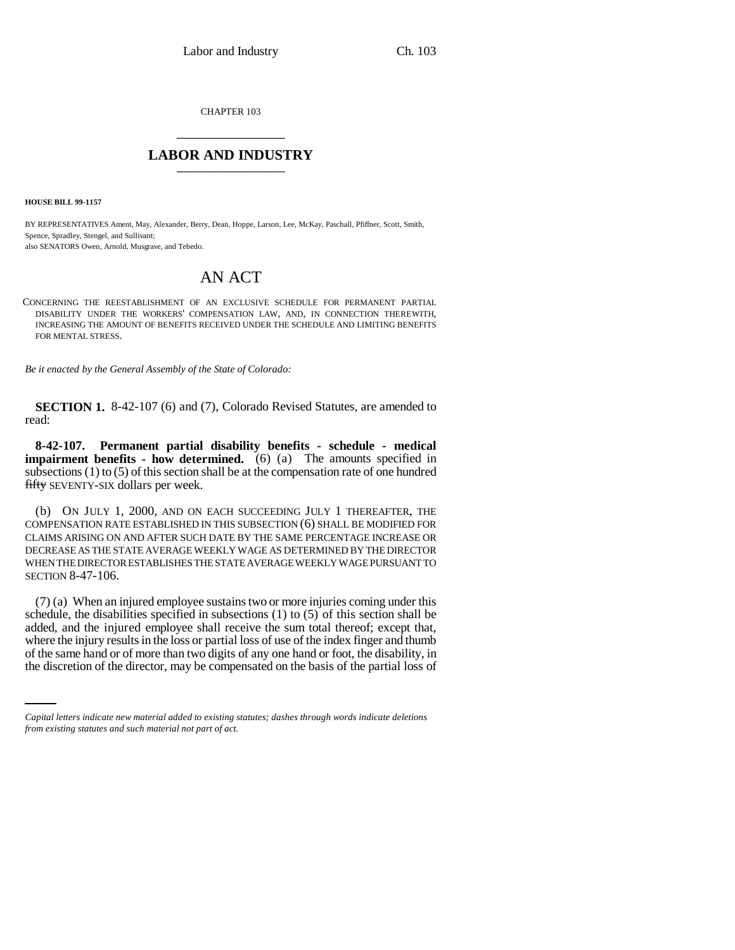CHAPTER 103 \_\_\_\_\_\_\_\_\_\_\_\_\_\_\_

## **LABOR AND INDUSTRY** \_\_\_\_\_\_\_\_\_\_\_\_\_\_\_

**HOUSE BILL 99-1157** 

BY REPRESENTATIVES Ament, May, Alexander, Berry, Dean, Hoppe, Larson, Lee, McKay, Paschall, Pfiffner, Scott, Smith, Spence, Spradley, Stengel, and Sullivant;

also SENATORS Owen, Arnold, Musgrave, and Tebedo.

## AN ACT

CONCERNING THE REESTABLISHMENT OF AN EXCLUSIVE SCHEDULE FOR PERMANENT PARTIAL DISABILITY UNDER THE WORKERS' COMPENSATION LAW, AND, IN CONNECTION THEREWITH, INCREASING THE AMOUNT OF BENEFITS RECEIVED UNDER THE SCHEDULE AND LIMITING BENEFITS FOR MENTAL STRESS.

*Be it enacted by the General Assembly of the State of Colorado:*

**SECTION 1.** 8-42-107 (6) and (7), Colorado Revised Statutes, are amended to read:

**8-42-107. Permanent partial disability benefits - schedule - medical impairment benefits - how determined.** (6) (a) The amounts specified in subsections  $(1)$  to  $(5)$  of this section shall be at the compensation rate of one hundred fifty SEVENTY-SIX dollars per week.

(b) ON JULY 1, 2000, AND ON EACH SUCCEEDING JULY 1 THEREAFTER, THE COMPENSATION RATE ESTABLISHED IN THIS SUBSECTION (6) SHALL BE MODIFIED FOR CLAIMS ARISING ON AND AFTER SUCH DATE BY THE SAME PERCENTAGE INCREASE OR DECREASE AS THE STATE AVERAGE WEEKLY WAGE AS DETERMINED BY THE DIRECTOR WHEN THE DIRECTOR ESTABLISHES THE STATE AVERAGE WEEKLY WAGE PURSUANT TO SECTION 8-47-106.

where the injury results in the loss or partial loss of use of the index finger and thumb (7) (a) When an injured employee sustains two or more injuries coming under this schedule, the disabilities specified in subsections (1) to (5) of this section shall be added, and the injured employee shall receive the sum total thereof; except that, of the same hand or of more than two digits of any one hand or foot, the disability, in the discretion of the director, may be compensated on the basis of the partial loss of

*Capital letters indicate new material added to existing statutes; dashes through words indicate deletions from existing statutes and such material not part of act.*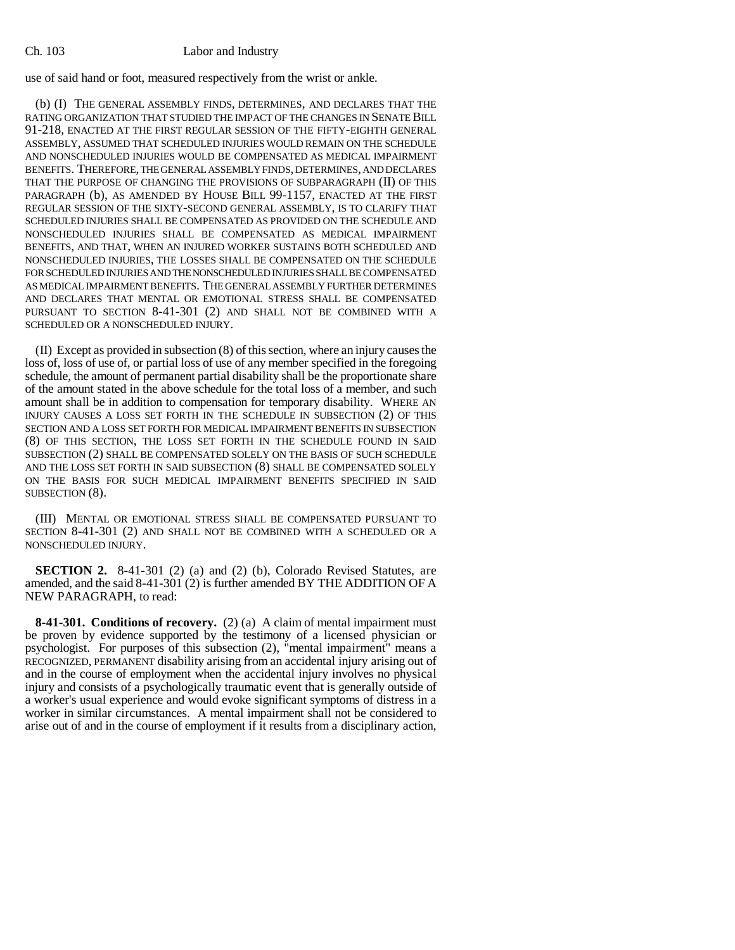## Ch. 103 Labor and Industry

use of said hand or foot, measured respectively from the wrist or ankle.

(b) (I) THE GENERAL ASSEMBLY FINDS, DETERMINES, AND DECLARES THAT THE RATING ORGANIZATION THAT STUDIED THE IMPACT OF THE CHANGES IN SENATE BILL 91-218, ENACTED AT THE FIRST REGULAR SESSION OF THE FIFTY-EIGHTH GENERAL ASSEMBLY, ASSUMED THAT SCHEDULED INJURIES WOULD REMAIN ON THE SCHEDULE AND NONSCHEDULED INJURIES WOULD BE COMPENSATED AS MEDICAL IMPAIRMENT BENEFITS. THEREFORE, THE GENERAL ASSEMBLY FINDS, DETERMINES, AND DECLARES THAT THE PURPOSE OF CHANGING THE PROVISIONS OF SUBPARAGRAPH (II) OF THIS PARAGRAPH (b), AS AMENDED BY HOUSE BILL 99-1157, ENACTED AT THE FIRST REGULAR SESSION OF THE SIXTY-SECOND GENERAL ASSEMBLY, IS TO CLARIFY THAT SCHEDULED INJURIES SHALL BE COMPENSATED AS PROVIDED ON THE SCHEDULE AND NONSCHEDULED INJURIES SHALL BE COMPENSATED AS MEDICAL IMPAIRMENT BENEFITS, AND THAT, WHEN AN INJURED WORKER SUSTAINS BOTH SCHEDULED AND NONSCHEDULED INJURIES, THE LOSSES SHALL BE COMPENSATED ON THE SCHEDULE FOR SCHEDULED INJURIES AND THE NONSCHEDULED INJURIES SHALL BE COMPENSATED AS MEDICAL IMPAIRMENT BENEFITS. THE GENERAL ASSEMBLY FURTHER DETERMINES AND DECLARES THAT MENTAL OR EMOTIONAL STRESS SHALL BE COMPENSATED PURSUANT TO SECTION 8-41-301 (2) AND SHALL NOT BE COMBINED WITH A SCHEDULED OR A NONSCHEDULED INJURY.

(II) Except as provided in subsection (8) of this section, where an injury causes the loss of, loss of use of, or partial loss of use of any member specified in the foregoing schedule, the amount of permanent partial disability shall be the proportionate share of the amount stated in the above schedule for the total loss of a member, and such amount shall be in addition to compensation for temporary disability. WHERE AN INJURY CAUSES A LOSS SET FORTH IN THE SCHEDULE IN SUBSECTION (2) OF THIS SECTION AND A LOSS SET FORTH FOR MEDICAL IMPAIRMENT BENEFITS IN SUBSECTION (8) OF THIS SECTION, THE LOSS SET FORTH IN THE SCHEDULE FOUND IN SAID SUBSECTION (2) SHALL BE COMPENSATED SOLELY ON THE BASIS OF SUCH SCHEDULE AND THE LOSS SET FORTH IN SAID SUBSECTION (8) SHALL BE COMPENSATED SOLELY ON THE BASIS FOR SUCH MEDICAL IMPAIRMENT BENEFITS SPECIFIED IN SAID SUBSECTION  $(8)$ .

(III) MENTAL OR EMOTIONAL STRESS SHALL BE COMPENSATED PURSUANT TO SECTION 8-41-301 (2) AND SHALL NOT BE COMBINED WITH A SCHEDULED OR A NONSCHEDULED INJURY.

**SECTION 2.** 8-41-301 (2) (a) and (2) (b), Colorado Revised Statutes, are amended, and the said 8-41-301 (2) is further amended BY THE ADDITION OF A NEW PARAGRAPH, to read:

**8-41-301. Conditions of recovery.** (2) (a) A claim of mental impairment must be proven by evidence supported by the testimony of a licensed physician or psychologist. For purposes of this subsection (2), "mental impairment" means a RECOGNIZED, PERMANENT disability arising from an accidental injury arising out of and in the course of employment when the accidental injury involves no physical injury and consists of a psychologically traumatic event that is generally outside of a worker's usual experience and would evoke significant symptoms of distress in a worker in similar circumstances. A mental impairment shall not be considered to arise out of and in the course of employment if it results from a disciplinary action,